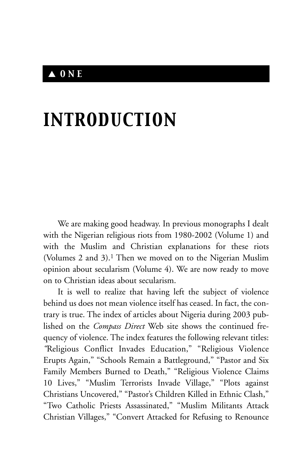### ▲ *ONE*

# *INTRODUCTION*

We are making good headway. In previous monographs I dealt with the Nigerian religious riots from 1980-2002 (Volume 1) and with the Muslim and Christian explanations for these riots (Volumes 2 and 3).1 Then we moved on to the Nigerian Muslim opinion about secularism (Volume 4). We are now ready to move on to Christian ideas about secularism.

It is well to realize that having left the subject of violence behind us does not mean violence itself has ceased. In fact, the contrary is true. The index of articles about Nigeria during 2003 published on the *Compass Direct* Web site shows the continued frequency of violence. The index features the following relevant titles: *"*Religious Conflict Invades Education," "Religious Violence Erupts Again," "Schools Remain a Battleground," "Pastor and Six Family Members Burned to Death," "Religious Violence Claims 10 Lives," "Muslim Terrorists Invade Village," "Plots against Christians Uncovered," "Pastor's Children Killed in Ethnic Clash," "Two Catholic Priests Assassinated," "Muslim Militants Attack Christian Villages," "Convert Attacked for Refusing to Renounce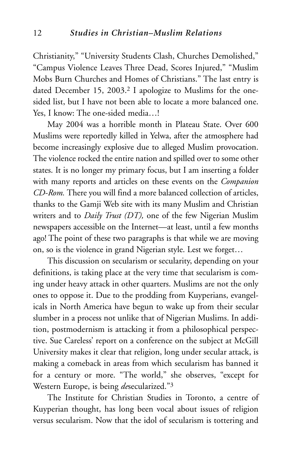Christianity," "University Students Clash, Churches Demolished," "Campus Violence Leaves Three Dead, Scores Injured," "Muslim Mobs Burn Churches and Homes of Christians." The last entry is dated December 15, 2003.<sup>2</sup> I apologize to Muslims for the onesided list, but I have not been able to locate a more balanced one. Yes, I know: The one-sided media…!

May 2004 was a horrible month in Plateau State. Over 600 Muslims were reportedly killed in Yelwa, after the atmosphere had become increasingly explosive due to alleged Muslim provocation. The violence rocked the entire nation and spilled over to some other states. It is no longer my primary focus, but I am inserting a folder with many reports and articles on these events on the *Companion CD-Rom.* There you will find a more balanced collection of articles, thanks to the Gamji Web site with its many Muslim and Christian writers and to *Daily Trust (DT),* one of the few Nigerian Muslim newspapers accessible on the Internet—at least, until a few months ago! The point of these two paragraphs is that while we are moving on, so is the violence in grand Nigerian style. Lest we forget…

This discussion on secularism or secularity, depending on your definitions, is taking place at the very time that secularism is coming under heavy attack in other quarters. Muslims are not the only ones to oppose it. Due to the prodding from Kuyperians, evangelicals in North America have begun to wake up from their secular slumber in a process not unlike that of Nigerian Muslims. In addition, postmodernism is attacking it from a philosophical perspective. Sue Careless' report on a conference on the subject at McGill University makes it clear that religion, long under secular attack, is making a comeback in areas from which secularism has banned it for a century or more. "The world," she observes, "except for Western Europe, is being *de*secularized."3

The Institute for Christian Studies in Toronto, a centre of Kuyperian thought, has long been vocal about issues of religion versus secularism. Now that the idol of secularism is tottering and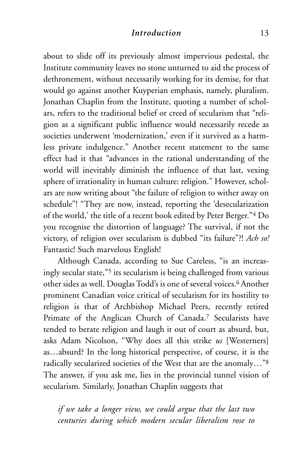#### *Introduction* 13

about to slide off its previously almost impervious pedestal, the Institute community leaves no stone unturned to aid the process of dethronement, without necessarily working for its demise, for that would go against another Kuyperian emphasis, namely, pluralism. Jonathan Chaplin from the Institute, quoting a number of scholars, refers to the traditional belief or creed of secularism that "religion as a significant public influence would necessarily recede as societies underwent 'modernization,' even if it survived as a harmless private indulgence." Another recent statement to the same effect had it that "advances in the rational understanding of the world will inevitably diminish the influence of that last, vexing sphere of irrationality in human culture: religion." However, scholars are now writing about "the failure of religion to wither away on schedule"! "They are now, instead, reporting the 'desecularization of the world,' the title of a recent book edited by Peter Berger."4 Do you recognise the distortion of language? The survival, if not the victory, of religion over secularism is dubbed "its failure"?! *Ach so!* Fantastic! Such marvelous English!

Although Canada, according to Sue Careless, "is an increasingly secular state,"5 its secularism is being challenged from various other sides as well. Douglas Todd's is one of several voices.<sup>6</sup> Another prominent Canadian voice critical of secularism for its hostility to religion is that of Archbishop Michael Peers, recently retired Primate of the Anglican Church of Canada.7 Secularists have tended to berate religion and laugh it out of court as absurd, but, asks Adam Nicolson, "Why does all this strike *us* [Westerners] as…absurd? In the long historical perspective, of course, it is the radically secularized societies of the West that are the anomaly…"8 The answer, if you ask me, lies in the provincial tunnel vision of secularism. Similarly, Jonathan Chaplin suggests that

*if we take a longer view, we could argue that the last two centuries during which modern secular liberalism rose to*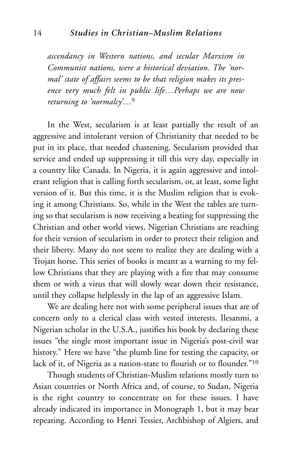*ascendancy in Western nations, and secular Marxism in Communist nations, were a historical deviation. The 'normal' state of affairs seems to be that religion makes its presence very much felt in public life…Perhaps we are now returning to 'normalcy'…*<sup>9</sup>

In the West, secularism is at least partially the result of an aggressive and intolerant version of Christianity that needed to be put in its place, that needed chastening. Secularism provided that service and ended up suppressing it till this very day, especially in a country like Canada. In Nigeria, it is again aggressive and intolerant religion that is calling forth secularism, or, at least, some light version of it. But this time, it is the Muslim religion that is evoking it among Christians. So, while in the West the tables are turning so that secularism is now receiving a beating for suppressing the Christian and other world views, Nigerian Christians are reaching for their version of secularism in order to protect their religion and their liberty. Many do not seem to realize they are dealing with a Trojan horse. This series of books is meant as a warning to my fellow Christians that they are playing with a fire that may consume them or with a virus that will slowly wear down their resistance, until they collapse helplessly in the lap of an aggressive Islam.

We are dealing here not with some peripheral issues that are of concern only to a clerical class with vested interests. Ilesanmi, a Nigerian scholar in the U.S.A., justifies his book by declaring these issues "the single most important issue in Nigeria's post-civil war history." Here we have "the plumb line for testing the capacity, or lack of it, of Nigeria as a nation-state to flourish or to flounder."10

Though students of Christian-Muslim relations mostly turn to Asian countries or North Africa and, of course, to Sudan, Nigeria is the right country to concentrate on for these issues. I have already indicated its importance in Monograph 1, but it may bear repeating. According to Henri Tessier, Archbishop of Algiers, and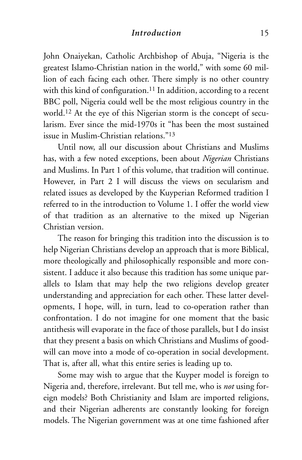#### *Introduction* 15

John Onaiyekan, Catholic Archbishop of Abuja, "Nigeria is the greatest Islamo-Christian nation in the world," with some 60 million of each facing each other. There simply is no other country with this kind of configuration.<sup>11</sup> In addition, according to a recent BBC poll, Nigeria could well be the most religious country in the world.12 At the eye of this Nigerian storm is the concept of secularism. Ever since the mid-1970s it "has been the most sustained issue in Muslim-Christian relations."13

Until now, all our discussion about Christians and Muslims has, with a few noted exceptions, been about *Nigerian* Christians and Muslims. In Part 1 of this volume, that tradition will continue. However, in Part 2 I will discuss the views on secularism and related issues as developed by the Kuyperian Reformed tradition I referred to in the introduction to Volume 1. I offer the world view of that tradition as an alternative to the mixed up Nigerian Christian version.

The reason for bringing this tradition into the discussion is to help Nigerian Christians develop an approach that is more Biblical, more theologically and philosophically responsible and more consistent. I adduce it also because this tradition has some unique parallels to Islam that may help the two religions develop greater understanding and appreciation for each other. These latter developments, I hope, will, in turn, lead to co-operation rather than confrontation. I do not imagine for one moment that the basic antithesis will evaporate in the face of those parallels, but I do insist that they present a basis on which Christians and Muslims of goodwill can move into a mode of co-operation in social development. That is, after all, what this entire series is leading up to.

Some may wish to argue that the Kuyper model is foreign to Nigeria and, therefore, irrelevant. But tell me, who is *not* using foreign models? Both Christianity and Islam are imported religions, and their Nigerian adherents are constantly looking for foreign models. The Nigerian government was at one time fashioned after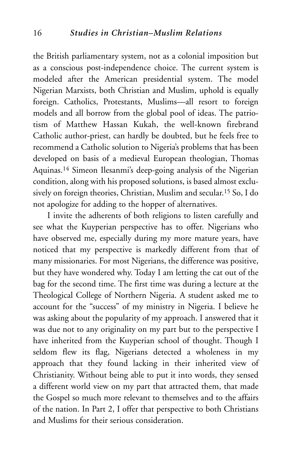the British parliamentary system, not as a colonial imposition but as a conscious post-independence choice. The current system is modeled after the American presidential system. The model Nigerian Marxists, both Christian and Muslim, uphold is equally foreign. Catholics, Protestants, Muslims—all resort to foreign models and all borrow from the global pool of ideas. The patriotism of Matthew Hassan Kukah, the well-known firebrand Catholic author-priest, can hardly be doubted, but he feels free to recommend a Catholic solution to Nigeria's problems that has been developed on basis of a medieval European theologian, Thomas Aquinas.14 Simeon Ilesanmi's deep-going analysis of the Nigerian condition, along with his proposed solutions, is based almost exclusively on foreign theories, Christian, Muslim and secular.15 So, I do not apologize for adding to the hopper of alternatives.

I invite the adherents of both religions to listen carefully and see what the Kuyperian perspective has to offer. Nigerians who have observed me, especially during my more mature years, have noticed that my perspective is markedly different from that of many missionaries. For most Nigerians, the difference was positive, but they have wondered why. Today I am letting the cat out of the bag for the second time. The first time was during a lecture at the Theological College of Northern Nigeria. A student asked me to account for the "success" of my ministry in Nigeria. I believe he was asking about the popularity of my approach. I answered that it was due not to any originality on my part but to the perspective I have inherited from the Kuyperian school of thought. Though I seldom flew its flag, Nigerians detected a wholeness in my approach that they found lacking in their inherited view of Christianity. Without being able to put it into words, they sensed a different world view on my part that attracted them, that made the Gospel so much more relevant to themselves and to the affairs of the nation. In Part 2, I offer that perspective to both Christians and Muslims for their serious consideration.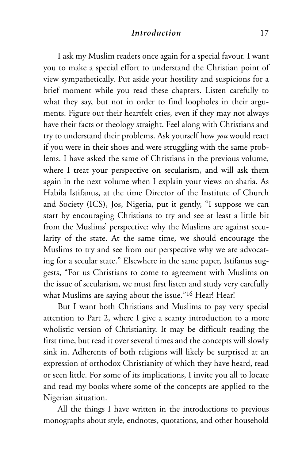#### *Introduction* 17

I ask my Muslim readers once again for a special favour. I want you to make a special effort to understand the Christian point of view sympathetically. Put aside your hostility and suspicions for a brief moment while you read these chapters. Listen carefully to what they say, but not in order to find loopholes in their arguments. Figure out their heartfelt cries, even if they may not always have their facts or theology straight. Feel along with Christians and try to understand their problems. Ask yourself how *you* would react if you were in their shoes and were struggling with the same problems. I have asked the same of Christians in the previous volume, where I treat your perspective on secularism, and will ask them again in the next volume when I explain your views on sharia. As Habila Istifanus, at the time Director of the Institute of Church and Society (ICS), Jos, Nigeria, put it gently, "I suppose we can start by encouraging Christians to try and see at least a little bit from the Muslims' perspective: why the Muslims are against secularity of the state. At the same time, we should encourage the Muslims to try and see from our perspective why we are advocating for a secular state." Elsewhere in the same paper, Istifanus suggests, "For us Christians to come to agreement with Muslims on the issue of secularism, we must first listen and study very carefully what Muslims are saying about the issue."<sup>16</sup> Hear! Hear!

But I want both Christians and Muslims to pay very special attention to Part 2, where I give a scanty introduction to a more wholistic version of Christianity. It may be difficult reading the first time, but read it over several times and the concepts will slowly sink in. Adherents of both religions will likely be surprised at an expression of orthodox Christianity of which they have heard, read or seen little. For some of its implications, I invite you all to locate and read my books where some of the concepts are applied to the Nigerian situation.

All the things I have written in the introductions to previous monographs about style, endnotes, quotations, and other household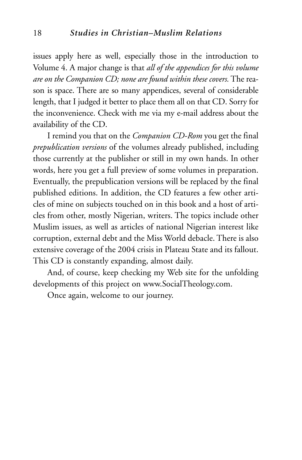issues apply here as well, especially those in the introduction to Volume 4. A major change is that *all of the appendices for this volume are on the Companion CD; none are found within these covers.*The reason is space. There are so many appendices, several of considerable length, that I judged it better to place them all on that CD. Sorry for the inconvenience. Check with me via my e-mail address about the availability of the CD.

I remind you that on the *Companion CD-Rom* you get the final *prepublication versions* of the volumes already published, including those currently at the publisher or still in my own hands. In other words, here you get a full preview of some volumes in preparation. Eventually, the prepublication versions will be replaced by the final published editions. In addition, the CD features a few other articles of mine on subjects touched on in this book and a host of articles from other, mostly Nigerian, writers. The topics include other Muslim issues, as well as articles of national Nigerian interest like corruption, external debt and the Miss World debacle. There is also extensive coverage of the 2004 crisis in Plateau State and its fallout. This CD is constantly expanding, almost daily.

And, of course, keep checking my Web site for the unfolding developments of this project on www.SocialTheology.com.

Once again, welcome to our journey.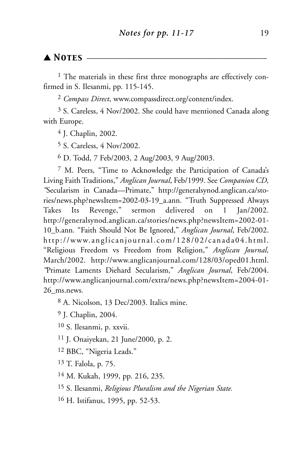#### ▲ *Notes* \_\_\_\_\_\_\_\_\_\_\_\_\_\_\_\_\_\_\_\_\_\_\_\_\_\_\_\_\_\_\_\_\_\_\_\_\_\_\_\_\_

<sup>1</sup> The materials in these first three monographs are effectively confirmed in S. Ilesanmi, pp. 115-145.

2 *Compass Direct*, www.compassdirect.org/content/index.

3 S. Careless, 4 Nov/2002. She could have mentioned Canada along with Europe.

4 J. Chaplin, 2002.

5 S. Careless, 4 Nov/2002.

6 D. Todd, 7 Feb/2003, 2 Aug/2003, 9 Aug/2003.

7 M. Peers, "Time to Acknowledge the Participation of Canada's Living Faith Traditions," *Anglican Journal*, Feb/1999. See *Companion CD, "*Secularism in Canada—Primate," http://generalsynod.anglican.ca/stories/news.php?newsItem=2002-03-19\_a.ann. "Truth Suppressed Always Takes Its Revenge," sermon delivered on 1 Jan/2002. http://generalsynod.anglican.ca/stories/news.php?newsItem=2002-01- 10\_b.ann*.* "Faith Should Not Be Ignored," *Anglican Journal*, Feb/2002. http://www.anglicanjournal.com/128/02/canada04.html. "Religious Freedom vs Freedom from Religion," *Anglican Journal,* March/2002. http://www.anglicanjournal.com/128/03/oped01.html. *"*Primate Laments Diehard Secularism," *Anglican Journal*, Feb/2004. http://www.anglicanjournal.com/extra/news.php?newsItem=2004-01- 26\_ms.news*.*

8 A. Nicolson, 13 Dec/2003. Italics mine.

9 J. Chaplin, 2004.

10 S. Ilesanmi, p. xxvii.

11 J. Onaiyekan, 21 June/2000, p. 2.

12 BBC, "Nigeria Leads."

13 T. Falola, p. 75.

14 M. Kukah, 1999, pp. 216, 235.

15 S. Ilesanmi, *Religious Pluralism and the Nigerian State.*

16 H. Istifanus, 1995, pp. 52-53.